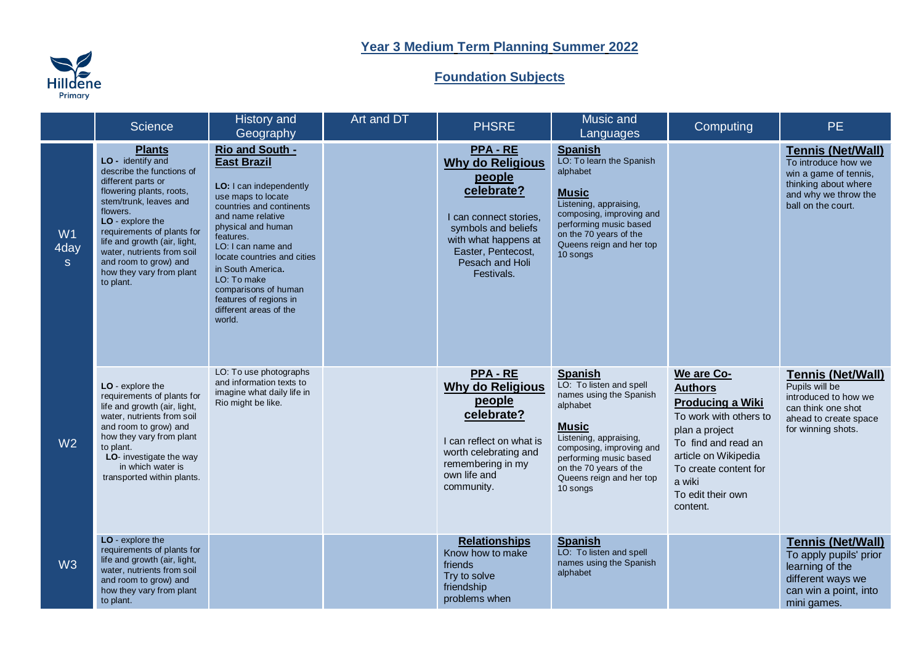## Hilldene

## **Year 3 Medium Term Planning Summer 2022**

## **Foundation Subjects**

|                            | <b>Science</b>                                                                                                                                                                                                                                                                                                                            | History and<br>Geography                                                                                                                                                                                                                                                                                                                                  | Art and DT | <b>PHSRE</b>                                                                                                                                                                                     | Music and<br>Languages                                                                                                                                                                                                                             | Computing                                                                                                                                                                                                              | <b>PE</b>                                                                                                                                      |
|----------------------------|-------------------------------------------------------------------------------------------------------------------------------------------------------------------------------------------------------------------------------------------------------------------------------------------------------------------------------------------|-----------------------------------------------------------------------------------------------------------------------------------------------------------------------------------------------------------------------------------------------------------------------------------------------------------------------------------------------------------|------------|--------------------------------------------------------------------------------------------------------------------------------------------------------------------------------------------------|----------------------------------------------------------------------------------------------------------------------------------------------------------------------------------------------------------------------------------------------------|------------------------------------------------------------------------------------------------------------------------------------------------------------------------------------------------------------------------|------------------------------------------------------------------------------------------------------------------------------------------------|
| W1<br>4day<br><sub>S</sub> | <b>Plants</b><br>LO - identify and<br>describe the functions of<br>different parts or<br>flowering plants, roots,<br>stem/trunk, leaves and<br>flowers.<br>LO - explore the<br>requirements of plants for<br>life and growth (air, light,<br>water, nutrients from soil<br>and room to grow) and<br>how they vary from plant<br>to plant. | Rio and South -<br><b>East Brazil</b><br>LO: I can independently<br>use maps to locate<br>countries and continents<br>and name relative<br>physical and human<br>features.<br>LO: I can name and<br>locate countries and cities<br>in South America.<br>LO: To make<br>comparisons of human<br>features of regions in<br>different areas of the<br>world. |            | <b>PPA-RE</b><br><b>Why do Religious</b><br>people<br>celebrate?<br>I can connect stories.<br>symbols and beliefs<br>with what happens at<br>Easter, Pentecost,<br>Pesach and Holi<br>Festivals. | <b>Spanish</b><br>LO: To learn the Spanish<br>alphabet<br><b>Music</b><br>Listening, appraising,<br>composing, improving and<br>performing music based<br>on the 70 years of the<br>Queens reign and her top<br>10 songs                           |                                                                                                                                                                                                                        | <b>Tennis (Net/Wall)</b><br>To introduce how we<br>win a game of tennis,<br>thinking about where<br>and why we throw the<br>ball on the court. |
| W <sub>2</sub>             | LO - explore the<br>requirements of plants for<br>life and growth (air, light,<br>water, nutrients from soil<br>and room to grow) and<br>how they vary from plant<br>to plant.<br>LO- investigate the way<br>in which water is<br>transported within plants.                                                                              | LO: To use photographs<br>and information texts to<br>imagine what daily life in<br>Rio might be like.                                                                                                                                                                                                                                                    |            | <b>PPA-RE</b><br><b>Why do Religious</b><br>people<br>celebrate?<br>I can reflect on what is<br>worth celebrating and<br>remembering in my<br>own life and<br>community.                         | <b>Spanish</b><br>LO: To listen and spell<br>names using the Spanish<br>alphabet<br><b>Music</b><br>Listening, appraising,<br>composing, improving and<br>performing music based<br>on the 70 years of the<br>Queens reign and her top<br>10 songs | We are Co-<br><b>Authors</b><br><b>Producing a Wiki</b><br>To work with others to<br>plan a project<br>To find and read an<br>article on Wikipedia<br>To create content for<br>a wiki<br>To edit their own<br>content. | <b>Tennis (Net/Wall)</b><br>Pupils will be<br>introduced to how we<br>can think one shot<br>ahead to create space<br>for winning shots.        |
| W3                         | LO - explore the<br>requirements of plants for<br>life and growth (air, light,<br>water, nutrients from soil<br>and room to grow) and<br>how they vary from plant<br>to plant.                                                                                                                                                            |                                                                                                                                                                                                                                                                                                                                                           |            | <b>Relationships</b><br>Know how to make<br>friends<br>Try to solve<br>friendship<br>problems when                                                                                               | <b>Spanish</b><br>LO: To listen and spell<br>names using the Spanish<br>alphabet                                                                                                                                                                   |                                                                                                                                                                                                                        | <b>Tennis (Net/Wall)</b><br>To apply pupils' prior<br>learning of the<br>different ways we<br>can win a point, into<br>mini games.             |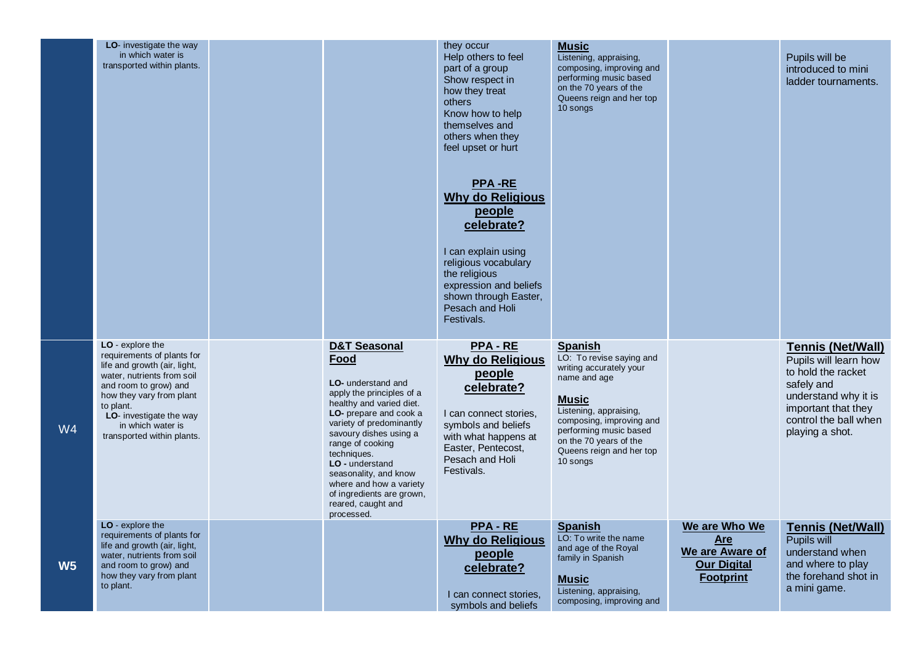|                | LO- investigate the way<br>in which water is<br>transported within plants.                                                                                                                                                                                   |                                                                                                                                                                                                                                                                                                                                                                           | they occur<br>Help others to feel<br>part of a group<br>Show respect in<br>how they treat<br>others<br>Know how to help<br>themselves and<br>others when they<br>feel upset or hurt<br><b>PPA-RE</b><br><b>Why do Religious</b><br>people<br>celebrate?<br>I can explain using<br>religious vocabulary<br>the religious<br>expression and beliefs<br>shown through Easter,<br>Pesach and Holi<br>Festivals. | <b>Music</b><br>Listening, appraising,<br>composing, improving and<br>performing music based<br>on the 70 years of the<br>Queens reign and her top<br>10 songs                                                                                          |                                                                                   | Pupils will be<br>introduced to mini<br>ladder tournaments.                                                                                                                      |
|----------------|--------------------------------------------------------------------------------------------------------------------------------------------------------------------------------------------------------------------------------------------------------------|---------------------------------------------------------------------------------------------------------------------------------------------------------------------------------------------------------------------------------------------------------------------------------------------------------------------------------------------------------------------------|-------------------------------------------------------------------------------------------------------------------------------------------------------------------------------------------------------------------------------------------------------------------------------------------------------------------------------------------------------------------------------------------------------------|---------------------------------------------------------------------------------------------------------------------------------------------------------------------------------------------------------------------------------------------------------|-----------------------------------------------------------------------------------|----------------------------------------------------------------------------------------------------------------------------------------------------------------------------------|
| W4             | LO - explore the<br>requirements of plants for<br>life and growth (air, light,<br>water, nutrients from soil<br>and room to grow) and<br>how they vary from plant<br>to plant.<br>LO- investigate the way<br>in which water is<br>transported within plants. | <b>D&amp;T Seasonal</b><br>Food<br>LO- understand and<br>apply the principles of a<br>healthy and varied diet.<br>LO- prepare and cook a<br>variety of predominantly<br>savoury dishes using a<br>range of cooking<br>techniques.<br>LO - understand<br>seasonality, and know<br>where and how a variety<br>of ingredients are grown,<br>reared, caught and<br>processed. | <b>PPA-RE</b><br><b>Why do Religious</b><br>people<br>celebrate?<br>I can connect stories,<br>symbols and beliefs<br>with what happens at<br>Easter, Pentecost,<br>Pesach and Holi<br>Festivals.                                                                                                                                                                                                            | <b>Spanish</b><br>LO: To revise saying and<br>writing accurately your<br>name and age<br><b>Music</b><br>Listening, appraising,<br>composing, improving and<br>performing music based<br>on the 70 years of the<br>Queens reign and her top<br>10 songs |                                                                                   | <b>Tennis (Net/Wall)</b><br>Pupils will learn how<br>to hold the racket<br>safely and<br>understand why it is<br>important that they<br>control the ball when<br>playing a shot. |
| W <sub>5</sub> | LO - explore the<br>requirements of plants for<br>life and growth (air, light,<br>water, nutrients from soil<br>and room to grow) and<br>how they vary from plant<br>to plant.                                                                               |                                                                                                                                                                                                                                                                                                                                                                           | <b>PPA-RE</b><br><b>Why do Religious</b><br>people<br>celebrate?<br>I can connect stories,<br>symbols and beliefs                                                                                                                                                                                                                                                                                           | <b>Spanish</b><br>LO: To write the name<br>and age of the Royal<br>family in Spanish<br><b>Music</b><br>Listening, appraising,<br>composing, improving and                                                                                              | We are Who We<br>Are<br>We are Aware of<br><b>Our Digital</b><br><b>Footprint</b> | <b>Tennis (Net/Wall)</b><br>Pupils will<br>understand when<br>and where to play<br>the forehand shot in<br>a mini game.                                                          |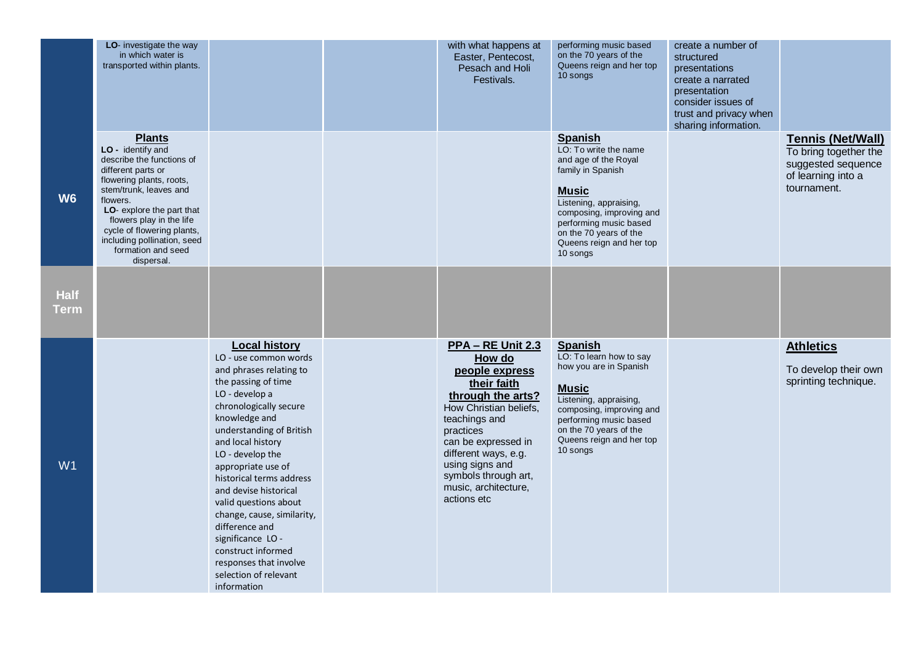|                            | LO- investigate the way<br>in which water is<br>transported within plants.                                                                                                                                                                                                                                        |                                                                                                                                                                                                                                                                                                                                                                                                                                                                                                   | with what happens at<br>Easter, Pentecost,<br>Pesach and Holi<br>Festivals.                                                                                                                                                                                                       | performing music based<br>on the 70 years of the<br>Queens reign and her top<br>10 songs                                                                                                                                                               | create a number of<br>structured<br>presentations<br>create a narrated<br>presentation<br>consider issues of<br>trust and privacy when<br>sharing information. |                                                                                                              |
|----------------------------|-------------------------------------------------------------------------------------------------------------------------------------------------------------------------------------------------------------------------------------------------------------------------------------------------------------------|---------------------------------------------------------------------------------------------------------------------------------------------------------------------------------------------------------------------------------------------------------------------------------------------------------------------------------------------------------------------------------------------------------------------------------------------------------------------------------------------------|-----------------------------------------------------------------------------------------------------------------------------------------------------------------------------------------------------------------------------------------------------------------------------------|--------------------------------------------------------------------------------------------------------------------------------------------------------------------------------------------------------------------------------------------------------|----------------------------------------------------------------------------------------------------------------------------------------------------------------|--------------------------------------------------------------------------------------------------------------|
| W <sub>6</sub>             | <b>Plants</b><br>LO - identify and<br>describe the functions of<br>different parts or<br>flowering plants, roots,<br>stem/trunk, leaves and<br>flowers.<br>LO- explore the part that<br>flowers play in the life<br>cycle of flowering plants,<br>including pollination, seed<br>formation and seed<br>dispersal. |                                                                                                                                                                                                                                                                                                                                                                                                                                                                                                   |                                                                                                                                                                                                                                                                                   | <b>Spanish</b><br>LO: To write the name<br>and age of the Royal<br>family in Spanish<br><b>Music</b><br>Listening, appraising,<br>composing, improving and<br>performing music based<br>on the 70 years of the<br>Queens reign and her top<br>10 songs |                                                                                                                                                                | <b>Tennis (Net/Wall)</b><br>To bring together the<br>suggested sequence<br>of learning into a<br>tournament. |
| <b>Half</b><br><u>Term</u> |                                                                                                                                                                                                                                                                                                                   |                                                                                                                                                                                                                                                                                                                                                                                                                                                                                                   |                                                                                                                                                                                                                                                                                   |                                                                                                                                                                                                                                                        |                                                                                                                                                                |                                                                                                              |
| W1                         |                                                                                                                                                                                                                                                                                                                   | <b>Local history</b><br>LO - use common words<br>and phrases relating to<br>the passing of time<br>LO - develop a<br>chronologically secure<br>knowledge and<br>understanding of British<br>and local history<br>LO - develop the<br>appropriate use of<br>historical terms address<br>and devise historical<br>valid questions about<br>change, cause, similarity,<br>difference and<br>significance LO-<br>construct informed<br>responses that involve<br>selection of relevant<br>information | <b>PPA – RE Unit 2.3</b><br>How do<br>people express<br>their faith<br>through the arts?<br>How Christian beliefs.<br>teachings and<br>practices<br>can be expressed in<br>different ways, e.g.<br>using signs and<br>symbols through art,<br>music, architecture,<br>actions etc | <b>Spanish</b><br>LO: To learn how to say<br>how you are in Spanish<br><b>Music</b><br>Listening, appraising,<br>composing, improving and<br>performing music based<br>on the 70 years of the<br>Queens reign and her top<br>10 songs                  |                                                                                                                                                                | <b>Athletics</b><br>To develop their own<br>sprinting technique.                                             |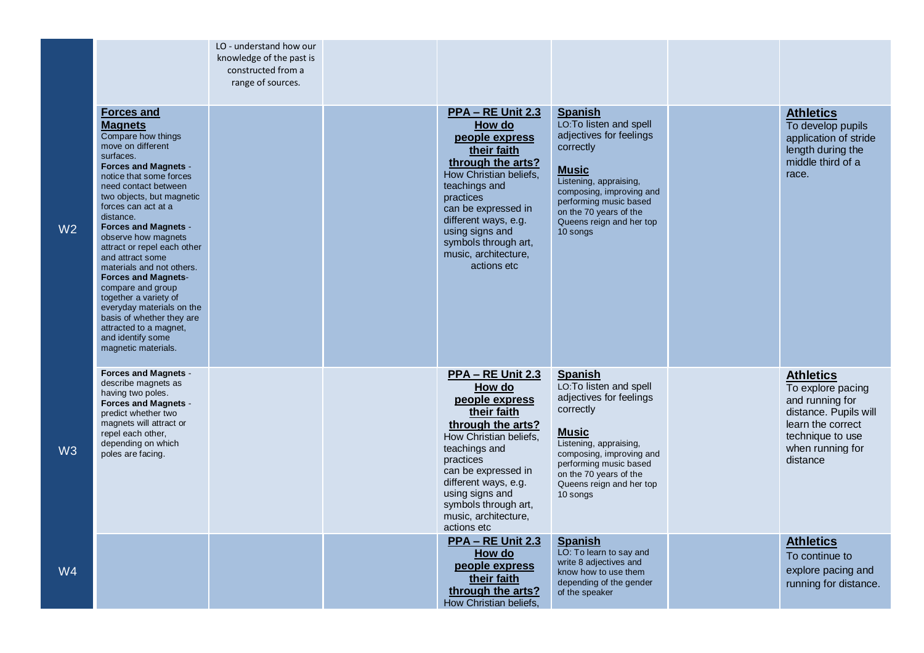|                |                                                                                                                                                                                                                                                                                                                                                                                                                                                                                                                                                                                                  | LO - understand how our<br>knowledge of the past is<br>constructed from a<br>range of sources. |                                                                                                                                                                                                                                                                                   |                                                                                                                                                                                                                                                     |                                                                                                                                                            |
|----------------|--------------------------------------------------------------------------------------------------------------------------------------------------------------------------------------------------------------------------------------------------------------------------------------------------------------------------------------------------------------------------------------------------------------------------------------------------------------------------------------------------------------------------------------------------------------------------------------------------|------------------------------------------------------------------------------------------------|-----------------------------------------------------------------------------------------------------------------------------------------------------------------------------------------------------------------------------------------------------------------------------------|-----------------------------------------------------------------------------------------------------------------------------------------------------------------------------------------------------------------------------------------------------|------------------------------------------------------------------------------------------------------------------------------------------------------------|
| W <sub>2</sub> | <b>Forces and</b><br><b>Magnets</b><br>Compare how things<br>move on different<br>surfaces.<br><b>Forces and Magnets -</b><br>notice that some forces<br>need contact between<br>two objects, but magnetic<br>forces can act at a<br>distance.<br><b>Forces and Magnets -</b><br>observe how magnets<br>attract or repel each other<br>and attract some<br>materials and not others.<br><b>Forces and Magnets-</b><br>compare and group<br>together a variety of<br>everyday materials on the<br>basis of whether they are<br>attracted to a magnet,<br>and identify some<br>magnetic materials. |                                                                                                | <b>PPA – RE Unit 2.3</b><br>How do<br>people express<br>their faith<br>through the arts?<br>How Christian beliefs,<br>teachings and<br>practices<br>can be expressed in<br>different ways, e.g.<br>using signs and<br>symbols through art,<br>music, architecture,<br>actions etc | <b>Spanish</b><br>LO: To listen and spell<br>adjectives for feelings<br>correctly<br><b>Music</b><br>Listening, appraising,<br>composing, improving and<br>performing music based<br>on the 70 years of the<br>Queens reign and her top<br>10 songs | <b>Athletics</b><br>To develop pupils<br>application of stride<br>length during the<br>middle third of a<br>race.                                          |
| W3             | <b>Forces and Magnets -</b><br>describe magnets as<br>having two poles.<br><b>Forces and Magnets -</b><br>predict whether two<br>magnets will attract or<br>repel each other,<br>depending on which<br>poles are facing.                                                                                                                                                                                                                                                                                                                                                                         |                                                                                                | PPA - RE Unit 2.3<br>How do<br>people express<br>their faith<br>through the arts?<br>How Christian beliefs,<br>teachings and<br>practices<br>can be expressed in<br>different ways, e.g.<br>using signs and<br>symbols through art,<br>music, architecture,<br>actions etc        | <b>Spanish</b><br>LO:To listen and spell<br>adjectives for feelings<br>correctly<br><b>Music</b><br>Listening, appraising,<br>composing, improving and<br>performing music based<br>on the 70 years of the<br>Queens reign and her top<br>10 songs  | <b>Athletics</b><br>To explore pacing<br>and running for<br>distance. Pupils will<br>learn the correct<br>technique to use<br>when running for<br>distance |
| W <sub>4</sub> |                                                                                                                                                                                                                                                                                                                                                                                                                                                                                                                                                                                                  |                                                                                                | PPA - RE Unit 2.3<br>How do<br>people express<br>their faith<br>through the arts?<br>How Christian beliefs,                                                                                                                                                                       | <b>Spanish</b><br>LO: To learn to say and<br>write 8 adjectives and<br>know how to use them<br>depending of the gender<br>of the speaker                                                                                                            | <b>Athletics</b><br>To continue to<br>explore pacing and<br>running for distance.                                                                          |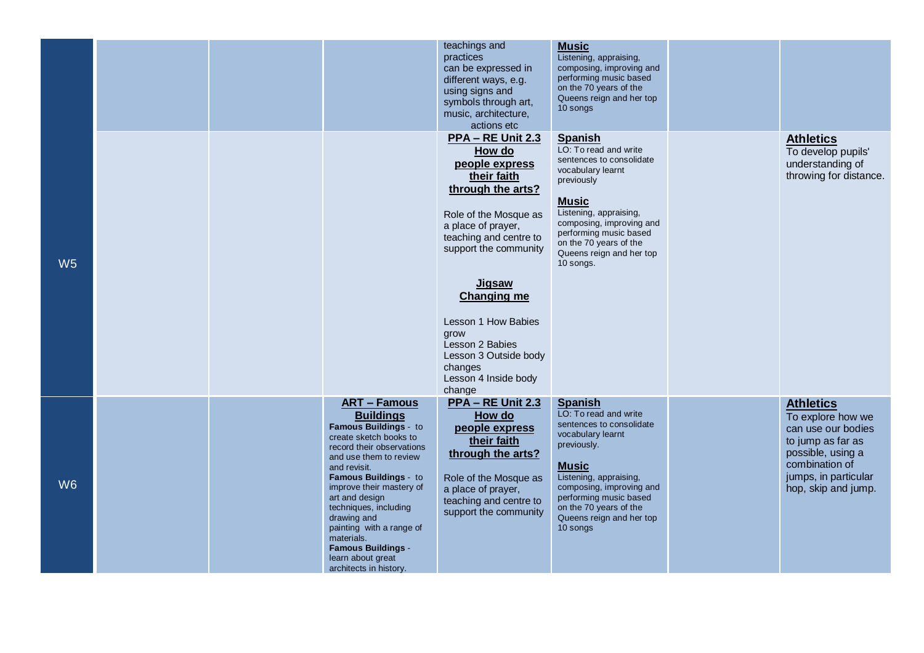|                |  |                                                                                                                                                                                                                                                                                                                                                                                                        | teachings and<br>practices<br>can be expressed in<br>different ways, e.g.<br>using signs and<br>symbols through art,<br>music, architecture,<br>actions etc                                                                                                                                                                                        | <b>Music</b><br>Listening, appraising,<br>composing, improving and<br>performing music based<br>on the 70 years of the<br>Queens reign and her top<br>10 songs                                                                                                            |                                                                                                                                                                        |
|----------------|--|--------------------------------------------------------------------------------------------------------------------------------------------------------------------------------------------------------------------------------------------------------------------------------------------------------------------------------------------------------------------------------------------------------|----------------------------------------------------------------------------------------------------------------------------------------------------------------------------------------------------------------------------------------------------------------------------------------------------------------------------------------------------|---------------------------------------------------------------------------------------------------------------------------------------------------------------------------------------------------------------------------------------------------------------------------|------------------------------------------------------------------------------------------------------------------------------------------------------------------------|
| W <sub>5</sub> |  |                                                                                                                                                                                                                                                                                                                                                                                                        | PPA - RE Unit 2.3<br>How do<br>people express<br>their faith<br>through the arts?<br>Role of the Mosque as<br>a place of prayer,<br>teaching and centre to<br>support the community<br><b>Jigsaw</b><br><b>Changing me</b><br>Lesson 1 How Babies<br>grow<br>Lesson 2 Babies<br>Lesson 3 Outside body<br>changes<br>Lesson 4 Inside body<br>change | <b>Spanish</b><br>LO: To read and write<br>sentences to consolidate<br>vocabulary learnt<br>previously<br><b>Music</b><br>Listening, appraising,<br>composing, improving and<br>performing music based<br>on the 70 years of the<br>Queens reign and her top<br>10 songs. | <b>Athletics</b><br>To develop pupils'<br>understanding of<br>throwing for distance.                                                                                   |
| W <sub>6</sub> |  | <b>ART - Famous</b><br><b>Buildings</b><br>Famous Buildings - to<br>create sketch books to<br>record their observations<br>and use them to review<br>and revisit.<br>Famous Buildings - to<br>improve their mastery of<br>art and design<br>techniques, including<br>drawing and<br>painting with a range of<br>materials.<br><b>Famous Buildings -</b><br>learn about great<br>architects in history. | <b>PPA - RE Unit 2.3</b><br>How do<br>people express<br>their faith<br>through the arts?<br>Role of the Mosque as<br>a place of prayer,<br>teaching and centre to<br>support the community                                                                                                                                                         | <b>Spanish</b><br>LO: To read and write<br>sentences to consolidate<br>vocabulary learnt<br>previously.<br><b>Music</b><br>Listening, appraising,<br>composing, improving and<br>performing music based<br>on the 70 years of the<br>Queens reign and her top<br>10 songs | <b>Athletics</b><br>To explore how we<br>can use our bodies<br>to jump as far as<br>possible, using a<br>combination of<br>jumps, in particular<br>hop, skip and jump. |